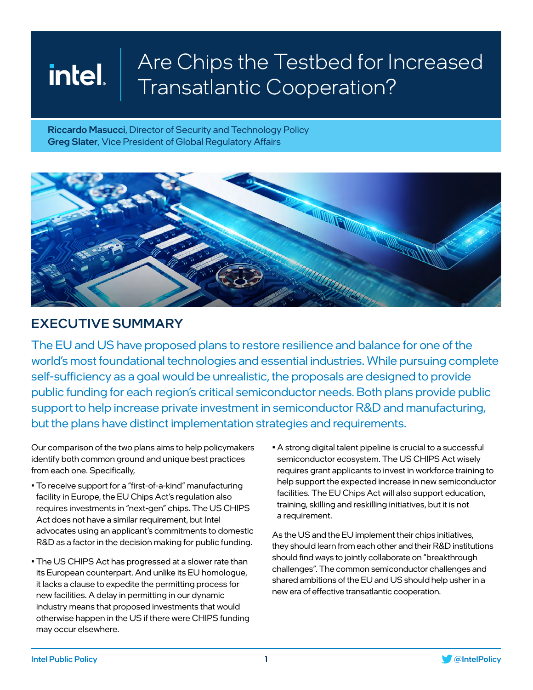Riccardo Masucci, Director of Security and Technology Policy Greg Slater, Vice President of Global Regulatory Affairs



### EXECUTIVE SUMMARY

The EU and US have proposed plans to restore resilience and balance for one of the world's most foundational technologies and essential industries. While pursuing complete self-sufficiency as a goal would be unrealistic, the proposals are designed to provide public funding for each region's critical semiconductor needs. Both plans provide public support to help increase private investment in semiconductor R&D and manufacturing, but the plans have distinct implementation strategies and requirements.

Our comparison of the two plans aims to help policymakers identify both common ground and unique best practices from each one. Specifically,

- To receive support for a "first-of-a-kind" manufacturing facility in Europe, the EU Chips Act's regulation also requires investments in "next-gen" chips. The US CHIPS Act does not have a similar requirement, but Intel advocates using an applicant's commitments to domestic R&D as a factor in the decision making for public funding.
- The US CHIPS Act has progressed at a slower rate than its European counterpart. And unlike its EU homologue, it lacks a clause to expedite the permitting process for new facilities. A delay in permitting in our dynamic industry means that proposed investments that would otherwise happen in the US if there were CHIPS funding may occur elsewhere.
- A strong digital talent pipeline is crucial to a successful semiconductor ecosystem. The US CHIPS Act wisely requires grant applicants to invest in workforce training to help support the expected increase in new semiconductor facilities. The EU Chips Act will also support education, training, skilling and reskilling initiatives, but it is not a requirement.

As the US and the EU implement their chips initiatives, they should learn from each other and their R&D institutions should find ways to jointly collaborate on "breakthrough challenges". The common semiconductor challenges and shared ambitions of the EU and US should help usher in a new era of effective transatlantic cooperation.

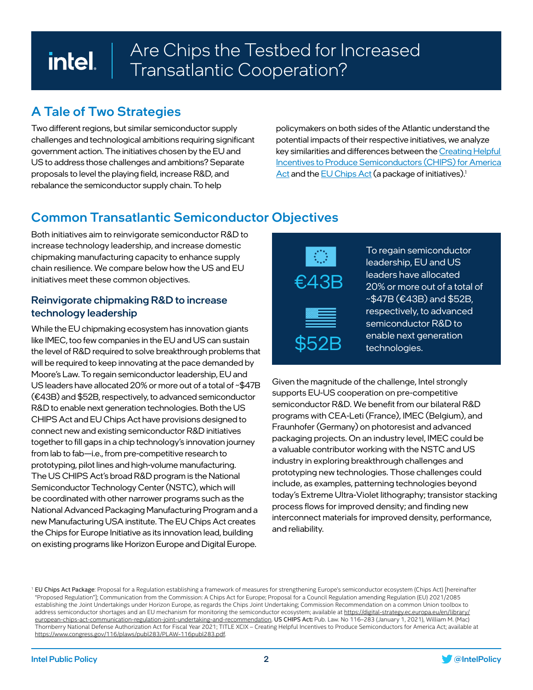### A Tale of Two Strategies

Two different regions, but similar semiconductor supply challenges and technological ambitions requiring significant government action. The initiatives chosen by the EU and US to address those challenges and ambitions? Separate proposals to level the playing field, increase R&D, and rebalance the semiconductor supply chain. To help

policymakers on both sides of the Atlantic understand the potential impacts of their respective initiatives, we analyze key similarities and differences between the [Creating Helpful](https://www.semiconductors.org/chips/)  [Incentives to Produce Semiconductors \(CHIPS\) for America](https://www.semiconductors.org/chips/)  [Act](https://www.semiconductors.org/chips/) and the [EU Chips Act](https://ec.europa.eu/commission/presscorner/detail/en/qanda_22_730) (a package of initiatives).<sup>1</sup>

## Common Transatlantic Semiconductor Objectives

Both initiatives aim to reinvigorate semiconductor R&D to increase technology leadership, and increase domestic chipmaking manufacturing capacity to enhance supply chain resilience. We compare below how the US and EU initiatives meet these common objectives.

#### Reinvigorate chipmaking R&D to increase technology leadership

While the EU chipmaking ecosystem has innovation giants like IMEC, too few companies in the EU and US can sustain the level of R&D required to solve breakthrough problems that will be required to keep innovating at the pace demanded by Moore's Law. To regain semiconductor leadership, EU and US leaders have allocated 20% or more out of a total of ~\$47B (€43B) and \$52B, respectively, to advanced semiconductor R&D to enable next generation technologies. Both the US CHIPS Act and EU Chips Act have provisions designed to connect new and existing semiconductor R&D initiatives together to fill gaps in a chip technology's innovation journey from lab to fab—i.e., from pre-competitive research to prototyping, pilot lines and high-volume manufacturing. The US CHIPS Act's broad R&D program is the National Semiconductor Technology Center (NSTC), which will be coordinated with other narrower programs such as the National Advanced Packaging Manufacturing Program and a new Manufacturing USA institute. The EU Chips Act creates the Chips for Europe Initiative as its innovation lead, building on existing programs like Horizon Europe and Digital Europe.



To regain semiconductor leadership, EU and US leaders have allocated 20% or more out of a total of  $\sim$ \$47B ( $\epsilon$ 43B) and \$52B, respectively, to advanced semiconductor R&D to enable next generation technologies.

Given the magnitude of the challenge, Intel strongly supports EU-US cooperation on pre-competitive semiconductor R&D. We benefit from our bilateral R&D programs with CEA-Leti (France), IMEC (Belgium), and Fraunhofer (Germany) on photoresist and advanced packaging projects. On an industry level, IMEC could be a valuable contributor working with the NSTC and US industry in exploring breakthrough challenges and prototyping new technologies. Those challenges could include, as examples, patterning technologies beyond today's Extreme Ultra-Violet lithography; transistor stacking process flows for improved density; and finding new interconnect materials for improved density, performance, and reliability.



<sup>&</sup>lt;sup>1</sup> EU Chips Act Package: Proposal for a Regulation establishing a framework of measures for strengthening Europe's semiconductor ecosystem (Chips Act) [hereinafter "Proposed Regulation"]; Communication from the Commission: A Chips Act for Europe; Proposal for a Council Regulation amending Regulation (EU) 2021/2085 establishing the Joint Undertakings under Horizon Europe, as regards the Chips Joint Undertaking; Commission Recommendation on a common Union toolbox to address semiconductor shortages and an EU mechanism for monitoring the semiconductor ecosystem; available at [https://digital-strategy.ec.europa.eu/en/library/](https://digital-strategy.ec.europa.eu/en/library/european-chips-act-communication-regulation-joint-undertaking-and-recommendation) [european-chips-act-communication-regulation-joint-undertaking-and-recommendation.](https://digital-strategy.ec.europa.eu/en/library/european-chips-act-communication-regulation-joint-undertaking-and-recommendation) US CHIPS Act**:** Pub. Law. No 116–283 (January 1, 2021), William M. (Mac) Thornberry National Defense Authorization Act for Fiscal Year 2021; TITLE XCIX – Creating Helpful Incentives to Produce Semiconductors for America Act; available at [https://www.congress.gov/116/plaws/publ283/PLAW-116publ283.pdf.](https://www.congress.gov/116/plaws/publ283/PLAW-116publ283.pdf)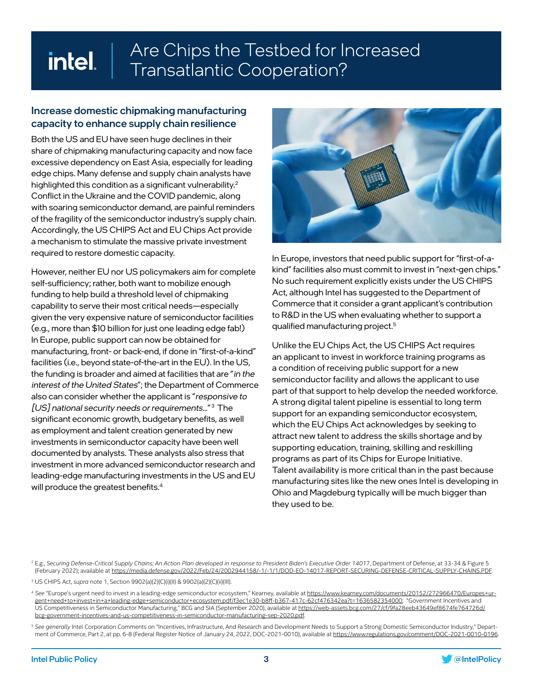#### Increase domestic chipmaking manufacturing capacity to enhance supply chain resilience

Both the US and EU have seen huge declines in their share of chipmaking manufacturing capacity and now face excessive dependency on East Asia, especially for leading edge chips. Many defense and supply chain analysts have highlighted this condition as a significant vulnerability.<sup>2</sup> Conflict in the Ukraine and the COVID pandemic, along with soaring semiconductor demand, are painful reminders of the fragility of the semiconductor industry's supply chain. Accordingly, the US CHIPS Act and EU Chips Act provide a mechanism to stimulate the massive private investment required to restore domestic capacity.

However, neither EU nor US policymakers aim for complete self-sufficiency; rather, both want to mobilize enough funding to help build a threshold level of chipmaking capability to serve their most critical needs—especially given the very expensive nature of semiconductor facilities (e.g., more than \$10 billion for just one leading edge fab!) In Europe, public support can now be obtained for manufacturing, front- or back-end, if done in "first-of-a-kind" facilities (i.e., beyond state-of-the-art in the EU). In the US, the funding is broader and aimed at facilities that are "in the interest of the United States"; the Department of Commerce also can consider whether the applicant is "responsive to [US] national security needs or requirements..."<sup>3</sup> The significant economic growth, budgetary benefits, as well as employment and talent creation generated by new investments in semiconductor capacity have been well documented by analysts. These analysts also stress that investment in more advanced semiconductor research and leading-edge manufacturing investments in the US and EU will produce the greatest benefits.<sup>4</sup>



In Europe, investors that need public support for "first-of-akind" facilities also must commit to invest in "next-gen chips." No such requirement explicitly exists under the US CHIPS Act, although Intel has suggested to the Department of Commerce that it consider a grant applicant's contribution to R&D in the US when evaluating whether to support a qualified manufacturing project.<sup>5</sup>

Unlike the EU Chips Act, the US CHIPS Act requires an applicant to invest in workforce training programs as a condition of receiving public support for a new semiconductor facility and allows the applicant to use part of that support to help develop the needed workforce. A strong digital talent pipeline is essential to long term support for an expanding semiconductor ecosystem, which the EU Chips Act acknowledges by seeking to attract new talent to address the skills shortage and by supporting education, training, skilling and reskilling programs as part of its Chips for Europe Initiative. Talent availability is more critical than in the past because manufacturing sites like the new ones Intel is developing in Ohio and Magdeburg typically will be much bigger than they used to be.

<sup>2</sup> E.g., Securing Defense-Critical Supply Chains: An Action Plan developed in response to President Biden's Executive Order 14017, Department of Defense, at 33-34 & Figure 5 (February 2022); available at<https://media.defense.gov/2022/Feb/24/2002944158/-1/-1/1/DOD-EO-14017-REPORT-SECURING-DEFENSE-CRITICAL-SUPPLY-CHAINS.PDF>.

<sup>3</sup> US CHIPS Act, *supra* note 1, Section 9902(a)(2)(C)(i)(II) & 9902(a)(2)(C)(ii)(III).

<sup>4</sup> *See* "Europe's urgent need to invest in a leading-edge semiconductor ecosystem," Kearney, available at [https://www.kearney.com/documents/20152/272966470/Europes+ur](https://www.kearney.com/documents/20152/272966470/Europes+urgent+need+to+invest+in+a+leading-edge+semiconductor+ecosystem.pdf/f3ec1e30-b8ff-b367-417c-62cf476342ea?t=1636582354000)[gent+need+to+invest+in+a+leading-edge+semiconductor+ecosystem.pdf/f3ec1e30-b8ff-b367-417c-62cf476342ea?t=1636582354000](https://www.kearney.com/documents/20152/272966470/Europes+urgent+need+to+invest+in+a+leading-edge+semiconductor+ecosystem.pdf/f3ec1e30-b8ff-b367-417c-62cf476342ea?t=1636582354000); "Government Incentives and US Competitiveness in Semiconductor Manufacturing," BCG and SIA (September 2020), available at [https://web-assets.bcg.com/27/cf/9fa28eeb43649ef8674fe764726d/](https://web-assets.bcg.com/27/cf/9fa28eeb43649ef8674fe764726d/bcg-government-incentives-and-us-competitiveness-in-semiconductor-manufacturing-sep-2020.pdf) [bcg-government-incentives-and-us-competitiveness-in-semiconductor-manufacturing-sep-2020.pdf](https://web-assets.bcg.com/27/cf/9fa28eeb43649ef8674fe764726d/bcg-government-incentives-and-us-competitiveness-in-semiconductor-manufacturing-sep-2020.pdf).

<sup>5</sup> *See generally* Intel Corporation Comments on "Incentives, Infrastructure, And Research and Development Needs to Support a Strong Domestic Semiconductor Industry," Department of Commerce, Part 2, at pp. 6-8 (Federal Register Notice of January 24, 2022, DOC-2021-0010), available at <https://www.regulations.gov/comment/DOC-2021-0010-0196>.

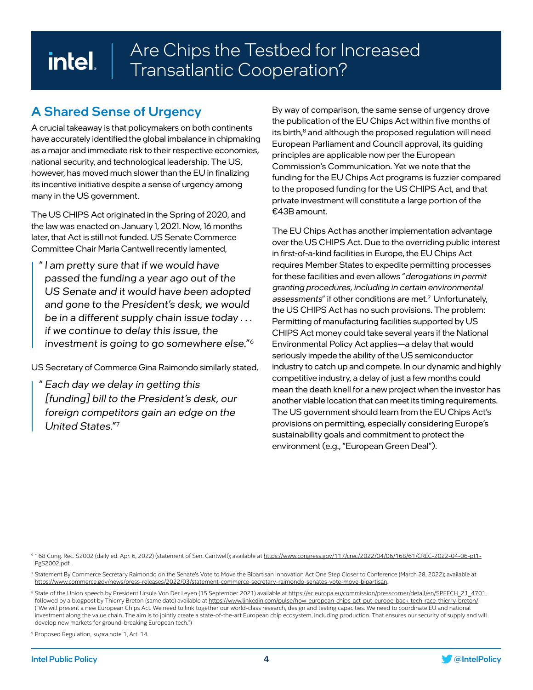# A Shared Sense of Urgency

A crucial takeaway is that policymakers on both continents have accurately identified the global imbalance in chipmaking as a major and immediate risk to their respective economies, national security, and technological leadership. The US, however, has moved much slower than the EU in finalizing its incentive initiative despite a sense of urgency among many in the US government.

The US CHIPS Act originated in the Spring of 2020, and the law was enacted on January 1, 2021. Now, 16 months later, that Act is still not funded. US Senate Commerce Committee Chair Maria Cantwell recently lamented,

" I am pretty sure that if we would have passed the funding a year ago out of the US Senate and it would have been adopted and gone to the President's desk, we would be in a different supply chain issue today . . . if we continue to delay this issue, the investment is going to go somewhere else."6

US Secretary of Commerce Gina Raimondo similarly stated,

" Each day we delay in getting this [funding] bill to the President's desk, our foreign competitors gain an edge on the United States."7

By way of comparison, the same sense of urgency drove the publication of the EU Chips Act within five months of its birth,<sup>8</sup> and although the proposed regulation will need European Parliament and Council approval, its guiding principles are applicable now per the European Commission's Communication. Yet we note that the funding for the EU Chips Act programs is fuzzier compared to the proposed funding for the US CHIPS Act, and that private investment will constitute a large portion of the €43B amount.

The EU Chips Act has another implementation advantage over the US CHIPS Act. Due to the overriding public interest in first-of-a-kind facilities in Europe, the EU Chips Act requires Member States to expedite permitting processes for these facilities and even allows "derogations in permit granting procedures, including in certain environmental assessments" if other conditions are met.<sup>9</sup> Unfortunately, the US CHIPS Act has no such provisions. The problem: Permitting of manufacturing facilities supported by US CHIPS Act money could take several years if the National Environmental Policy Act applies—a delay that would seriously impede the ability of the US semiconductor industry to catch up and compete. In our dynamic and highly competitive industry, a delay of just a few months could mean the death knell for a new project when the investor has another viable location that can meet its timing requirements. The US government should learn from the EU Chips Act's provisions on permitting, especially considering Europe's sustainability goals and commitment to protect the environment (e.g., "European Green Deal").

6 168 Cong. Rec. S2002 (daily ed. Apr. 6, 2022) (statement of Sen. Cantwell); available at [https://www.congress.gov/117/crec/2022/04/06/168/61/CREC-2022-04-06-pt1-](https://www.congress.gov/117/crec/2022/04/06/168/61/CREC-2022-04-06-pt1-PgS2002.pdf) [PgS2002.pdf.](https://www.congress.gov/117/crec/2022/04/06/168/61/CREC-2022-04-06-pt1-PgS2002.pdf)

<sup>7</sup> Statement By Commerce Secretary Raimondo on the Senate's Vote to Move the Bipartisan Innovation Act One Step Closer to Conference (March 28, 2022); available at <https://www.commerce.gov/news/press-releases/2022/03/statement-commerce-secretary-raimondo-senates-vote-move-bipartisan>.

<sup>8</sup> State of the Union speech by President Ursula Von Der Leyen (15 September 2021) available at [https://ec.europa.eu/commission/presscorner/detail/en/SPEECH\\_21\\_4701,](https://ec.europa.eu/commission/presscorner/detail/en/SPEECH_21_4701) followed by a blogpost by Thierry Breton (same date) available at <https://www.linkedin.com/pulse/how-european-chips-act-put-europe-back-tech-race-thierry-breton/> ("We will present a new European Chips Act. We need to link together our world-class research, design and testing capacities. We need to coordinate EU and national investment along the value chain. The aim is to jointly create a state-of-the-art European chip ecosystem, including production. That ensures our security of supply and will develop new markets for ground-breaking European tech.")

<sup>9</sup> Proposed Regulation, supra note 1, Art. 14.